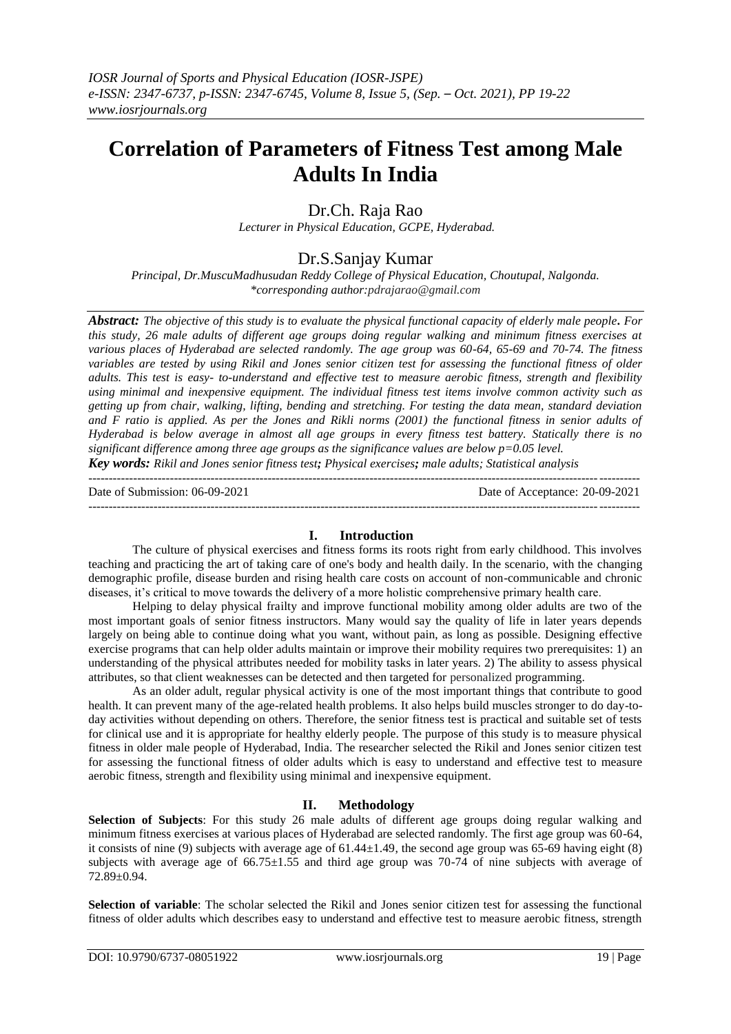# **Correlation of Parameters of Fitness Test among Male Adults In India**

# Dr.Ch. Raja Rao

*Lecturer in Physical Education, GCPE, Hyderabad.*

# Dr.S.Sanjay Kumar

*Principal, Dr.MuscuMadhusudan Reddy College of Physical Education, Choutupal, Nalgonda. \*corresponding author:pdrajarao@gmail.com*

*Abstract: The objective of this study is to evaluate the physical functional capacity of elderly male people. For this study, 26 male adults of different age groups doing regular walking and minimum fitness exercises at various places of Hyderabad are selected randomly. The age group was 60-64, 65-69 and 70-74. The fitness variables are tested by using Rikil and Jones senior citizen test for assessing the functional fitness of older adults. This test is easy- to-understand and effective test to measure aerobic fitness, strength and flexibility using minimal and inexpensive equipment. The individual fitness test items involve common activity such as getting up from chair, walking, lifting, bending and stretching. For testing the data mean, standard deviation and F ratio is applied. As per the Jones and Rikli norms (2001) the functional fitness in senior adults of Hyderabad is below average in almost all age groups in every fitness test battery. Statically there is no significant difference among three age groups as the significance values are below p=0.05 level.*

*Key words: Rikil and Jones senior fitness test; Physical exercises; male adults; Statistical analysis* ---------------------------------------------------------------------------------------------------------------------------------------

Date of Submission: 06-09-2021 Date of Acceptance: 20-09-2021

---------------------------------------------------------------------------------------------------------------------------------------

# **I. Introduction**

The culture of physical exercises and fitness forms its roots right from early childhood. This involves teaching and practicing the art of taking care of one's body and health daily. In the scenario, with the changing demographic profile, disease burden and rising health care costs on account of non-communicable and chronic diseases, it's critical to move towards the delivery of a more holistic comprehensive primary health care.

Helping to delay physical frailty and improve functional mobility among older adults are two of the most important goals of senior fitness instructors. Many would say the quality of life in later years depends largely on being able to continue doing what you want, without pain, as long as possible. Designing effective exercise programs that can help older adults maintain or improve their mobility requires two prerequisites: 1) an understanding of the physical attributes needed for mobility tasks in later years. 2) The ability to assess physical attributes, so that client weaknesses can be detected and then targeted for personalized programming.

As an older adult, regular physical activity is one of the most important things that contribute to good health. It can prevent many of the age-related health problems. It also helps build muscles stronger to do day-today activities without depending on others. Therefore, the senior fitness test is practical and suitable set of tests for clinical use and it is appropriate for healthy elderly people. The purpose of this study is to measure physical fitness in older male people of Hyderabad, India. The researcher selected the Rikil and Jones senior citizen test for assessing the functional fitness of older adults which is easy to understand and effective test to measure aerobic fitness, strength and flexibility using minimal and inexpensive equipment.

# **II. Methodology**

**Selection of Subjects**: For this study 26 male adults of different age groups doing regular walking and minimum fitness exercises at various places of Hyderabad are selected randomly. The first age group was 60-64, it consists of nine (9) subjects with average age of  $61.44\pm1.49$ , the second age group was 65-69 having eight (8) subjects with average age of  $66.75 \pm 1.55$  and third age group was 70-74 of nine subjects with average of 72.89±0.94.

**Selection of variable**: The scholar selected the Rikil and Jones senior citizen test for assessing the functional fitness of older adults which describes easy to understand and effective test to measure aerobic fitness, strength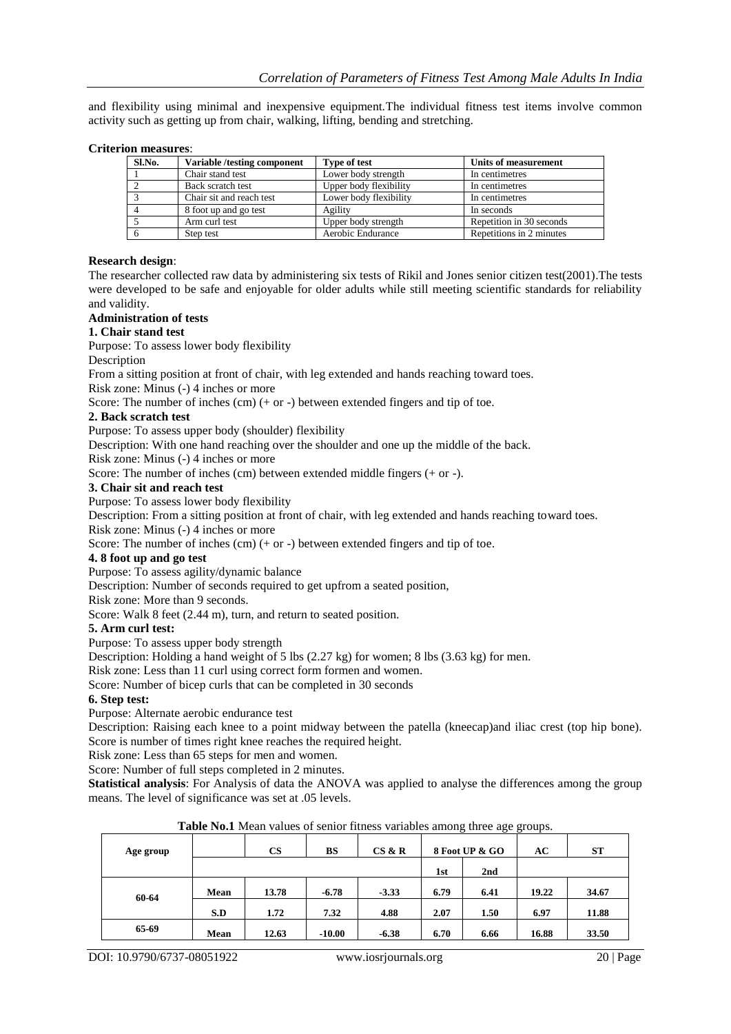and flexibility using minimal and inexpensive equipment.The individual fitness test items involve common activity such as getting up from chair, walking, lifting, bending and stretching.

#### **Criterion measures**:

| Sl.No. | Variable/testing component | <b>Type of test</b>    | Units of measurement     |
|--------|----------------------------|------------------------|--------------------------|
|        | Chair stand test           | Lower body strength    | In centimetres           |
|        | Back scratch test          | Upper body flexibility | In centimetres           |
|        | Chair sit and reach test   | Lower body flexibility | In centimetres           |
|        | 8 foot up and go test      | Agility                | In seconds               |
|        | Arm curl test              | Upper body strength    | Repetition in 30 seconds |
|        | Step test                  | Aerobic Endurance      | Repetitions in 2 minutes |

#### **Research design**:

The researcher collected raw data by administering six tests of Rikil and Jones senior citizen test(2001).The tests were developed to be safe and enjoyable for older adults while still meeting scientific standards for reliability and validity.

# **Administration of tests**

## **1. Chair stand test**

Purpose: To assess lower body flexibility

#### Description

From a sitting position at front of chair, with leg extended and hands reaching toward toes.

Risk zone: Minus (-) 4 inches or more

Score: The number of inches  $(cm)$  (+ or -) between extended fingers and tip of toe.

#### **2. Back scratch test**

Purpose: To assess upper body (shoulder) flexibility

Description: With one hand reaching over the shoulder and one up the middle of the back.

Risk zone: Minus (-) 4 inches or more

Score: The number of inches (cm) between extended middle fingers (+ or -).

#### **3. Chair sit and reach test**

Purpose: To assess lower body flexibility

Description: From a sitting position at front of chair, with leg extended and hands reaching toward toes. Risk zone: Minus (-) 4 inches or more

Score: The number of inches (cm) (+ or -) between extended fingers and tip of toe.

### **4. 8 foot up and go test**

Purpose: To assess agility/dynamic balance

Description: Number of seconds required to get upfrom a seated position,

Risk zone: More than 9 seconds.

Score: Walk 8 feet  $(2.44 \text{ m})$ , turn, and return to seated position.

#### **5. Arm curl test:**

Purpose: To assess upper body strength

Description: Holding a hand weight of 5 lbs (2.27 kg) for women; 8 lbs (3.63 kg) for men.

Risk zone: Less than 11 curl using correct form formen and women.

Score: Number of bicep curls that can be completed in 30 seconds

#### **6. Step test:**

Purpose: Alternate aerobic endurance test

Description: Raising each knee to a point midway between the patella (kneecap)and iliac crest (top hip bone). Score is number of times right knee reaches the required height.

Risk zone: Less than 65 steps for men and women.

Score: Number of full steps completed in 2 minutes.

**Statistical analysis**: For Analysis of data the ANOVA was applied to analyse the differences among the group means. The level of significance was set at .05 levels.

| <b>Twore</b> From Them Turned of Belliot Hunedo Turnedo union <sub>i</sub> , three u <sub>p</sub> e groups. |      |       |          |         |      |                |       |           |
|-------------------------------------------------------------------------------------------------------------|------|-------|----------|---------|------|----------------|-------|-----------|
| Age group                                                                                                   |      | CS    | BS       | CS & R  |      | 8 Foot UP & GO | AC    | <b>ST</b> |
|                                                                                                             |      |       |          |         | 1st  | 2nd            |       |           |
| 60-64                                                                                                       | Mean | 13.78 | $-6.78$  | $-3.33$ | 6.79 | 6.41           | 19.22 | 34.67     |
|                                                                                                             | S.D  | 1.72  | 7.32     | 4.88    | 2.07 | 1.50           | 6.97  | 11.88     |
| 65-69                                                                                                       | Mean | 12.63 | $-10.00$ | $-6.38$ | 6.70 | 6.66           | 16.88 | 33.50     |

**Table No.1** Mean values of senior fitness variables among three age groups.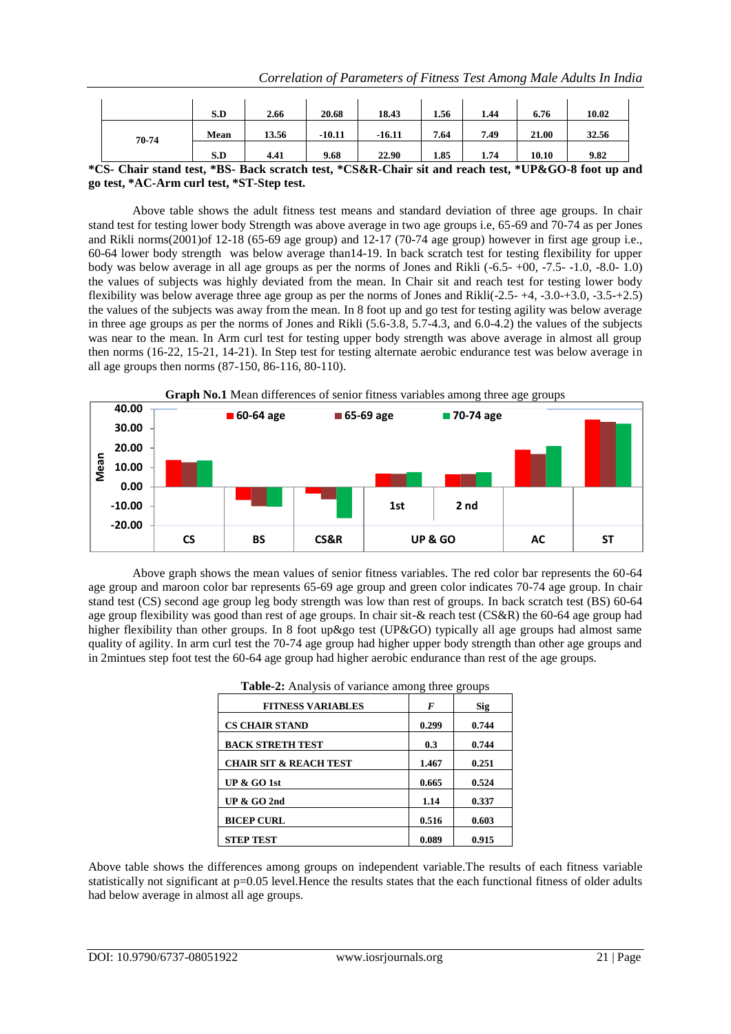|       |                                                                                                               | S.D   | 2.66     | 20.68    | 18.43 | 1.56 | 1.44  | 6.76  | 10.02 |
|-------|---------------------------------------------------------------------------------------------------------------|-------|----------|----------|-------|------|-------|-------|-------|
| 70-74 | Mean                                                                                                          | 13.56 | $-10.11$ | $-16.11$ | 7.64  | 7.49 | 21.00 | 32.56 |       |
|       |                                                                                                               | S.D   | 4.41     | 9.68     | 22.90 | 1.85 | 1.74  | 10.10 | 9.82  |
|       | $^k$ CS- Chair stand test $*R$ S- Rack scratch test $*C$ S&R-Chair sit and reach test $*H$ IP&CO-8 foot un ar |       |          |          |       |      |       |       |       |

#### **\*CS- Chair stand test, \*BS- Back scratch test, \*CS&R-Chair sit and reach test, \*UP&GO-8 foot up and go test, \*AC-Arm curl test, \*ST-Step test.**

Above table shows the adult fitness test means and standard deviation of three age groups. In chair stand test for testing lower body Strength was above average in two age groups i.e, 65-69 and 70-74 as per Jones and Rikli norms(2001)of 12-18 (65-69 age group) and 12-17 (70-74 age group) however in first age group i.e., 60-64 lower body strength was below average than14-19. In back scratch test for testing flexibility for upper body was below average in all age groups as per the norms of Jones and Rikli (-6.5- +00, -7.5- -1.0, -8.0- 1.0) the values of subjects was highly deviated from the mean. In Chair sit and reach test for testing lower body flexibility was below average three age group as per the norms of Jones and Rikli(-2.5- +4, -3.0-+3.0, -3.5-+2.5) the values of the subjects was away from the mean. In 8 foot up and go test for testing agility was below average in three age groups as per the norms of Jones and Rikli (5.6-3.8, 5.7-4.3, and 6.0-4.2) the values of the subjects was near to the mean. In Arm curl test for testing upper body strength was above average in almost all group then norms (16-22, 15-21, 14-21). In Step test for testing alternate aerobic endurance test was below average in all age groups then norms (87-150, 86-116, 80-110).



Above graph shows the mean values of senior fitness variables. The red color bar represents the 60-64 age group and maroon color bar represents 65-69 age group and green color indicates 70-74 age group. In chair stand test (CS) second age group leg body strength was low than rest of groups. In back scratch test (BS) 60-64 age group flexibility was good than rest of age groups. In chair sit-& reach test (CS&R) the 60-64 age group had higher flexibility than other groups. In 8 foot up&go test (UP&GO) typically all age groups had almost same quality of agility. In arm curl test the 70-74 age group had higher upper body strength than other age groups and in 2mintues step foot test the 60-64 age group had higher aerobic endurance than rest of the age groups.

| <b>FITNESS VARIABLES</b>          | F     | <b>Sig</b> |
|-----------------------------------|-------|------------|
| <b>CS CHAIR STAND</b>             | 0.299 | 0.744      |
| <b>BACK STRETH TEST</b>           | 0.3   | 0.744      |
| <b>CHAIR SIT &amp; REACH TEST</b> | 1.467 | 0.251      |
| UP $\&$ GO 1st                    | 0.665 | 0.524      |
| UP $&$ GO 2nd                     | 1.14  | 0.337      |
| <b>BICEP CURL</b>                 | 0.516 | 0.603      |
| <b>STEP TEST</b>                  | 0.089 | 0.915      |

|  | <b>Table-2:</b> Analysis of variance among three groups |
|--|---------------------------------------------------------|
|  |                                                         |

Above table shows the differences among groups on independent variable.The results of each fitness variable statistically not significant at  $p=0.05$  level. Hence the results states that the each functional fitness of older adults had below average in almost all age groups.